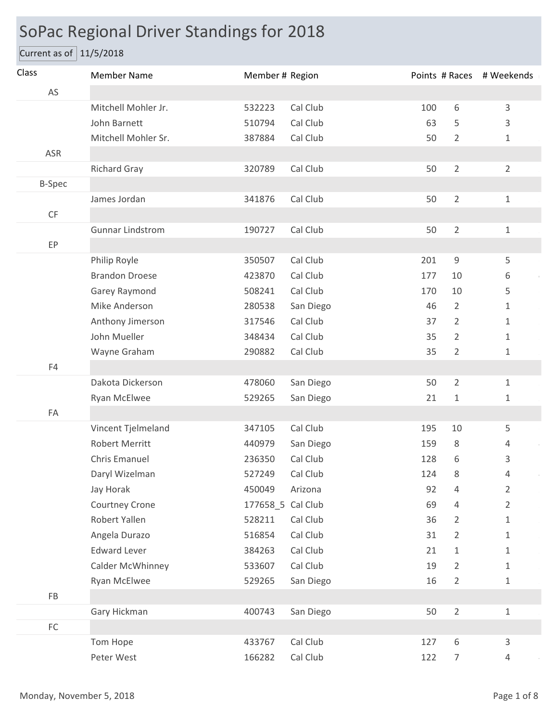## SoPac Regional Driver Standings for 2018

## Current as of  $11/5/2018$

| Class         | <b>Member Name</b>      | Member # Region   |           |     |                | Points # Races # Weekends |
|---------------|-------------------------|-------------------|-----------|-----|----------------|---------------------------|
| AS            |                         |                   |           |     |                |                           |
|               | Mitchell Mohler Jr.     | 532223            | Cal Club  | 100 | 6              | 3                         |
|               | John Barnett            | 510794            | Cal Club  | 63  | 5              | 3                         |
|               | Mitchell Mohler Sr.     | 387884            | Cal Club  | 50  | $\overline{2}$ | $\mathbf 1$               |
| ASR           |                         |                   |           |     |                |                           |
|               | <b>Richard Gray</b>     | 320789            | Cal Club  | 50  | $\overline{2}$ | $\overline{2}$            |
| <b>B-Spec</b> |                         |                   |           |     |                |                           |
|               | James Jordan            | 341876            | Cal Club  | 50  | $\overline{2}$ | $\mathbf{1}$              |
| CF            |                         |                   |           |     |                |                           |
|               | <b>Gunnar Lindstrom</b> | 190727            | Cal Club  | 50  | $\overline{2}$ | $\mathbf 1$               |
| EP            |                         |                   |           |     |                |                           |
|               | Philip Royle            | 350507            | Cal Club  | 201 | $\mathsf 9$    | 5                         |
|               | <b>Brandon Droese</b>   | 423870            | Cal Club  | 177 | 10             | 6                         |
|               | Garey Raymond           | 508241            | Cal Club  | 170 | 10             | 5                         |
|               | Mike Anderson           | 280538            | San Diego | 46  | $\overline{2}$ | 1                         |
|               | Anthony Jimerson        | 317546            | Cal Club  | 37  | $\overline{2}$ | 1                         |
|               | John Mueller            | 348434            | Cal Club  | 35  | 2              | $\mathbf{1}$              |
|               | Wayne Graham            | 290882            | Cal Club  | 35  | $\overline{2}$ | $\mathbf{1}$              |
| F4            |                         |                   |           |     |                |                           |
|               | Dakota Dickerson        | 478060            | San Diego | 50  | $\overline{2}$ | $\mathbf{1}$              |
|               | Ryan McElwee            | 529265            | San Diego | 21  | 1              | 1                         |
| FA            |                         |                   |           |     |                |                           |
|               | Vincent Tjelmeland      | 347105            | Cal Club  | 195 | 10             | 5                         |
|               | <b>Robert Merritt</b>   | 440979            | San Diego | 159 | 8              | 4                         |
|               | Chris Emanuel           | 236350            | Cal Club  | 128 | 6              | 3                         |
|               | Daryl Wizelman          | 527249            | Cal Club  | 124 | 8              | 4                         |
|               | Jay Horak               | 450049            | Arizona   | 92  | 4              | $\overline{2}$            |
|               | Courtney Crone          | 177658_5 Cal Club |           | 69  | 4              | $\overline{2}$            |
|               | Robert Yallen           | 528211            | Cal Club  | 36  | $\overline{2}$ | 1                         |
|               | Angela Durazo           | 516854            | Cal Club  | 31  | $\overline{2}$ | 1                         |
|               | <b>Edward Lever</b>     | 384263            | Cal Club  | 21  | 1              | 1                         |
|               | Calder McWhinney        | 533607            | Cal Club  | 19  | $\overline{2}$ | 1                         |
|               | Ryan McElwee            | 529265            | San Diego | 16  | $\overline{2}$ | $\mathbf{1}$              |
| ${\sf FB}$    |                         |                   |           |     |                |                           |
|               | Gary Hickman            | 400743            | San Diego | 50  | $\overline{2}$ | $\mathbf{1}$              |
| ${\sf FC}$    |                         |                   |           |     |                |                           |
|               | Tom Hope                | 433767            | Cal Club  | 127 | 6              | 3                         |
|               | Peter West              | 166282            | Cal Club  | 122 | $\overline{7}$ | $\overline{4}$            |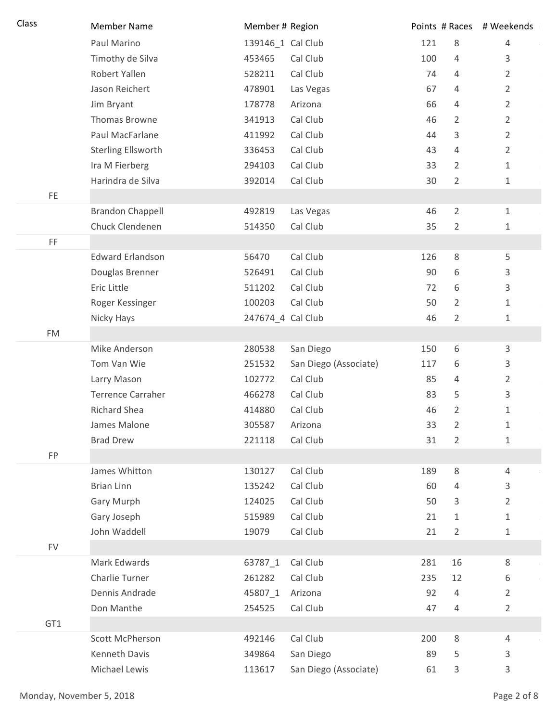| Class     | <b>Member Name</b>        | Member # Region   |                       |     | Points # Races | # Weekends     |
|-----------|---------------------------|-------------------|-----------------------|-----|----------------|----------------|
|           | Paul Marino               | 139146_1 Cal Club |                       | 121 | 8              | $\overline{4}$ |
|           | Timothy de Silva          | 453465            | Cal Club              | 100 | $\overline{4}$ | 3              |
|           | Robert Yallen             | 528211            | Cal Club              | 74  | 4              | $\overline{2}$ |
|           | Jason Reichert            | 478901            | Las Vegas             | 67  | $\overline{4}$ | $\overline{2}$ |
|           | Jim Bryant                | 178778            | Arizona               | 66  | 4              | $\overline{2}$ |
|           | Thomas Browne             | 341913            | Cal Club              | 46  | $\overline{2}$ | $\overline{2}$ |
|           | Paul MacFarlane           | 411992            | Cal Club              | 44  | 3              | $\overline{2}$ |
|           | <b>Sterling Ellsworth</b> | 336453            | Cal Club              | 43  | $\overline{4}$ | $\overline{2}$ |
|           | Ira M Fierberg            | 294103            | Cal Club              | 33  | $\overline{2}$ | $\mathbf{1}$   |
|           | Harindra de Silva         | 392014            | Cal Club              | 30  | $\overline{2}$ | 1              |
| FE.       |                           |                   |                       |     |                |                |
|           | <b>Brandon Chappell</b>   | 492819            | Las Vegas             | 46  | $\overline{2}$ | $\mathbf{1}$   |
|           | Chuck Clendenen           | 514350            | Cal Club              | 35  | 2              | 1              |
| FF        |                           |                   |                       |     |                |                |
|           | <b>Edward Erlandson</b>   | 56470             | Cal Club              | 126 | 8              | 5              |
|           | Douglas Brenner           | 526491            | Cal Club              | 90  | 6              | 3              |
|           | Eric Little               | 511202            | Cal Club              | 72  | 6              | 3              |
|           | Roger Kessinger           | 100203            | Cal Club              | 50  | 2              | 1              |
|           | Nicky Hays                | 247674_4 Cal Club |                       | 46  | $\overline{2}$ | 1              |
| <b>FM</b> |                           |                   |                       |     |                |                |
|           | Mike Anderson             | 280538            | San Diego             | 150 | 6              | 3              |
|           | Tom Van Wie               | 251532            | San Diego (Associate) | 117 | 6              | 3              |
|           | Larry Mason               | 102772            | Cal Club              | 85  | 4              | 2              |
|           | <b>Terrence Carraher</b>  | 466278            | Cal Club              | 83  | 5              | 3              |
|           | <b>Richard Shea</b>       | 414880            | Cal Club              | 46  | $\overline{2}$ | $\mathbf{1}$   |
|           | James Malone              | 305587            | Arizona               | 33  | 2              | 1              |
|           | <b>Brad Drew</b>          | 221118            | Cal Club              | 31  | $\overline{2}$ | $\mathbf{1}$   |
| FP        |                           |                   |                       |     |                |                |
|           | James Whitton             | 130127            | Cal Club              | 189 | $\,8\,$        | 4              |
|           | <b>Brian Linn</b>         | 135242            | Cal Club              | 60  | $\overline{4}$ | 3              |
|           | <b>Gary Murph</b>         | 124025            | Cal Club              | 50  | 3              | $\overline{2}$ |
|           | Gary Joseph               | 515989            | Cal Club              | 21  | $\mathbf{1}$   | $\mathbf{1}$   |
|           | John Waddell              | 19079             | Cal Club              | 21  | $\overline{2}$ | 1              |
| <b>FV</b> |                           |                   |                       |     |                |                |
|           | Mark Edwards              | 63787_1           | Cal Club              | 281 | 16             | 8              |
|           | Charlie Turner            | 261282            | Cal Club              | 235 | 12             | 6              |
|           | Dennis Andrade            | 45807_1           | Arizona               | 92  | $\overline{4}$ | $\overline{2}$ |
|           | Don Manthe                | 254525            | Cal Club              | 47  | $\overline{4}$ | $\overline{2}$ |
| GT1       |                           |                   |                       |     |                |                |
|           | Scott McPherson           | 492146            | Cal Club              | 200 | 8              | 4              |
|           | Kenneth Davis             | 349864            | San Diego             | 89  | 5              | 3              |
|           | Michael Lewis             | 113617            | San Diego (Associate) | 61  | 3              | 3              |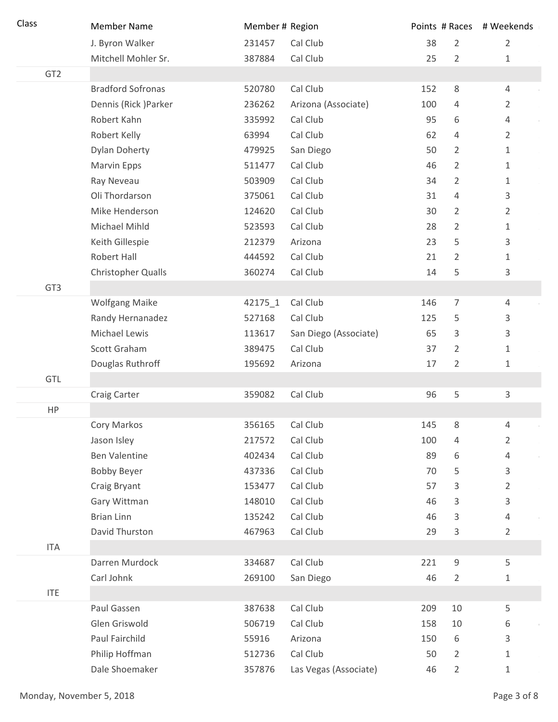| Class           | <b>Member Name</b>        | Member # Region |                       |     |                | Points # Races # Weekends |
|-----------------|---------------------------|-----------------|-----------------------|-----|----------------|---------------------------|
|                 | J. Byron Walker           | 231457          | Cal Club              | 38  | $\overline{2}$ | $\overline{2}$            |
|                 | Mitchell Mohler Sr.       | 387884          | Cal Club              | 25  | 2              | 1                         |
| GT <sub>2</sub> |                           |                 |                       |     |                |                           |
|                 | <b>Bradford Sofronas</b>  | 520780          | Cal Club              | 152 | 8              | 4                         |
|                 | Dennis (Rick) Parker      | 236262          | Arizona (Associate)   | 100 | 4              | 2                         |
|                 | Robert Kahn               | 335992          | Cal Club              | 95  | 6              | 4                         |
|                 | Robert Kelly              | 63994           | Cal Club              | 62  | 4              | $\overline{2}$            |
|                 | <b>Dylan Doherty</b>      | 479925          | San Diego             | 50  | $\overline{2}$ | $\mathbf{1}$              |
|                 | Marvin Epps               | 511477          | Cal Club              | 46  | $\overline{2}$ | 1                         |
|                 | Ray Neveau                | 503909          | Cal Club              | 34  | 2              | 1                         |
|                 | Oli Thordarson            | 375061          | Cal Club              | 31  | 4              | 3                         |
|                 | Mike Henderson            | 124620          | Cal Club              | 30  | 2              | $\overline{2}$            |
|                 | Michael Mihld             | 523593          | Cal Club              | 28  | $\overline{2}$ | 1                         |
|                 | Keith Gillespie           | 212379          | Arizona               | 23  | 5              | 3                         |
|                 | Robert Hall               | 444592          | Cal Club              | 21  | 2              | 1                         |
|                 | <b>Christopher Qualls</b> | 360274          | Cal Club              | 14  | 5              | 3                         |
| GT <sub>3</sub> |                           |                 |                       |     |                |                           |
|                 | <b>Wolfgang Maike</b>     | 42175_1         | Cal Club              | 146 | $\overline{7}$ | 4                         |
|                 | Randy Hernanadez          | 527168          | Cal Club              | 125 | 5              | 3                         |
|                 | Michael Lewis             | 113617          | San Diego (Associate) | 65  | 3              | 3                         |
|                 | Scott Graham              | 389475          | Cal Club              | 37  | $\overline{2}$ | $\mathbf 1$               |
|                 | Douglas Ruthroff          | 195692          | Arizona               | 17  | $\overline{2}$ | 1                         |
| GTL             |                           |                 |                       |     |                |                           |
|                 | Craig Carter              | 359082          | Cal Club              | 96  | 5              | 3                         |
| HP              |                           |                 |                       |     |                |                           |
|                 | Cory Markos               | 356165          | Cal Club              | 145 | 8              | 4                         |
|                 | Jason Isley               | 217572          | Cal Club              | 100 | 4              | $\overline{2}$            |
|                 | <b>Ben Valentine</b>      | 402434          | Cal Club              | 89  | 6              | 4                         |
|                 | <b>Bobby Beyer</b>        | 437336          | Cal Club              | 70  | 5              | 3                         |
|                 | Craig Bryant              | 153477          | Cal Club              | 57  | 3              | $\overline{2}$            |
|                 | Gary Wittman              | 148010          | Cal Club              | 46  | 3              | 3                         |
|                 | <b>Brian Linn</b>         | 135242          | Cal Club              | 46  | 3              | 4                         |
|                 | David Thurston            | 467963          | Cal Club              | 29  | 3              | 2                         |
| <b>ITA</b>      |                           |                 |                       |     |                |                           |
|                 | Darren Murdock            | 334687          | Cal Club              | 221 | 9              | 5                         |
|                 | Carl Johnk                | 269100          | San Diego             | 46  | 2              | 1                         |
| <b>ITE</b>      |                           |                 |                       |     |                |                           |
|                 | Paul Gassen               | 387638          | Cal Club              | 209 | 10             | 5                         |
|                 | Glen Griswold             | 506719          | Cal Club              | 158 | 10             | 6                         |
|                 | Paul Fairchild            | 55916           | Arizona               | 150 | 6              | 3                         |
|                 | Philip Hoffman            | 512736          | Cal Club              | 50  | 2              | 1                         |
|                 | Dale Shoemaker            | 357876          | Las Vegas (Associate) | 46  | $\overline{2}$ | $\mathbf{1}$              |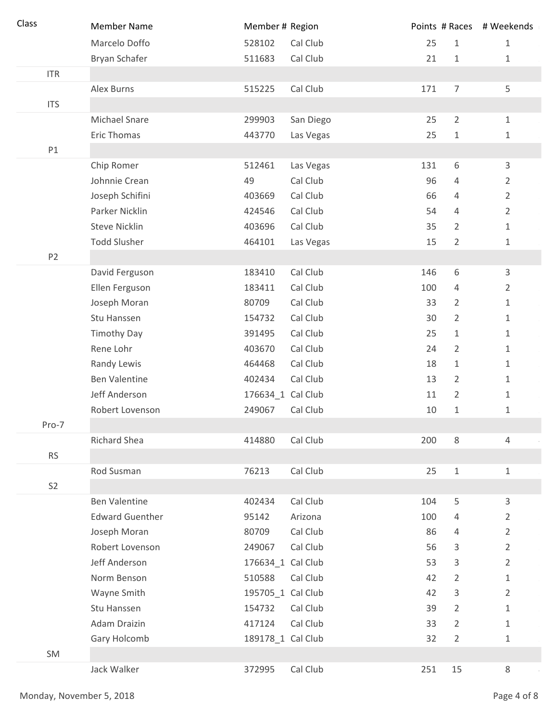| Class          | <b>Member Name</b>     | Member # Region   |           |     |                | Points # Races # Weekends |
|----------------|------------------------|-------------------|-----------|-----|----------------|---------------------------|
|                | Marcelo Doffo          | 528102            | Cal Club  | 25  | $\mathbf{1}$   | $\mathbf 1$               |
|                | Bryan Schafer          | 511683            | Cal Club  | 21  | $\mathbf{1}$   | $\mathbf 1$               |
| <b>ITR</b>     |                        |                   |           |     |                |                           |
|                | Alex Burns             | 515225            | Cal Club  | 171 | $\overline{7}$ | 5                         |
| <b>ITS</b>     |                        |                   |           |     |                |                           |
|                | Michael Snare          | 299903            | San Diego | 25  | $\overline{2}$ | $\mathbf 1$               |
|                | <b>Eric Thomas</b>     | 443770            | Las Vegas | 25  | $1\,$          | 1                         |
| P1             |                        |                   |           |     |                |                           |
|                | Chip Romer             | 512461            | Las Vegas | 131 | 6              | $\mathsf{3}$              |
|                | Johnnie Crean          | 49                | Cal Club  | 96  | 4              | $\overline{2}$            |
|                | Joseph Schifini        | 403669            | Cal Club  | 66  | 4              | $\overline{2}$            |
|                | Parker Nicklin         | 424546            | Cal Club  | 54  | 4              | $\overline{2}$            |
|                | <b>Steve Nicklin</b>   | 403696            | Cal Club  | 35  | $\overline{2}$ | 1                         |
|                | <b>Todd Slusher</b>    | 464101            | Las Vegas | 15  | $\overline{2}$ | 1                         |
| P <sub>2</sub> |                        |                   |           |     |                |                           |
|                | David Ferguson         | 183410            | Cal Club  | 146 | 6              | 3                         |
|                | Ellen Ferguson         | 183411            | Cal Club  | 100 | 4              | 2                         |
|                | Joseph Moran           | 80709             | Cal Club  | 33  | 2              | 1                         |
|                | Stu Hanssen            | 154732            | Cal Club  | 30  | 2              | 1                         |
|                | <b>Timothy Day</b>     | 391495            | Cal Club  | 25  | 1              | 1                         |
|                | Rene Lohr              | 403670            | Cal Club  | 24  | $\overline{2}$ | $\mathbf{1}$              |
|                | Randy Lewis            | 464468            | Cal Club  | 18  | 1              | 1                         |
|                | <b>Ben Valentine</b>   | 402434            | Cal Club  | 13  | 2              | 1                         |
|                | Jeff Anderson          | 176634_1 Cal Club |           | 11  | $\overline{2}$ | 1                         |
|                | Robert Lovenson        | 249067            | Cal Club  | 10  | $\mathbf 1$    | $\mathbf{1}$              |
| Pro-7          |                        |                   |           |     |                |                           |
|                | Richard Shea           | 414880            | Cal Club  | 200 | 8              | 4                         |
| <b>RS</b>      |                        |                   |           |     |                |                           |
|                | Rod Susman             | 76213             | Cal Club  | 25  | $\,1\,$        | $\mathbf{1}$              |
| S <sub>2</sub> |                        |                   |           |     |                |                           |
|                | <b>Ben Valentine</b>   | 402434            | Cal Club  | 104 | 5              | 3                         |
|                | <b>Edward Guenther</b> | 95142             | Arizona   | 100 | 4              | $\overline{2}$            |
|                | Joseph Moran           | 80709             | Cal Club  | 86  | 4              | $\overline{2}$            |
|                | Robert Lovenson        | 249067            | Cal Club  | 56  | 3              | $\overline{2}$            |
|                | Jeff Anderson          | 176634_1 Cal Club |           | 53  | 3              | $\overline{2}$            |
|                | Norm Benson            | 510588            | Cal Club  | 42  | $\overline{2}$ | 1                         |
|                | Wayne Smith            | 195705_1 Cal Club |           | 42  | 3              | $\overline{2}$            |
|                | Stu Hanssen            | 154732            | Cal Club  | 39  | $\overline{2}$ | 1                         |
|                | Adam Draizin           | 417124            | Cal Club  | 33  | $\overline{2}$ | 1                         |
|                | Gary Holcomb           | 189178_1 Cal Club |           | 32  | $\overline{2}$ | 1                         |
| SM             |                        |                   |           |     |                |                           |
|                | Jack Walker            | 372995            | Cal Club  | 251 | 15             | 8                         |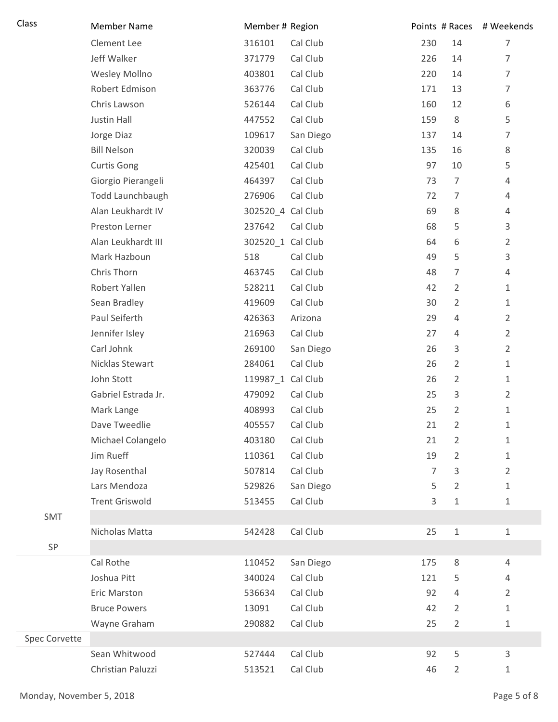| Class         | <b>Member Name</b>    | Member # Region   |           |                |                | Points # Races # Weekends |
|---------------|-----------------------|-------------------|-----------|----------------|----------------|---------------------------|
|               | Clement Lee           | 316101            | Cal Club  | 230            | 14             | 7                         |
|               | Jeff Walker           | 371779            | Cal Club  | 226            | 14             | 7                         |
|               | Wesley Mollno         | 403801            | Cal Club  | 220            | 14             | $\overline{7}$            |
|               | Robert Edmison        | 363776            | Cal Club  | 171            | 13             | 7                         |
|               | Chris Lawson          | 526144            | Cal Club  | 160            | 12             | 6                         |
|               | Justin Hall           | 447552            | Cal Club  | 159            | 8              | 5                         |
|               | Jorge Diaz            | 109617            | San Diego | 137            | 14             | 7                         |
|               | <b>Bill Nelson</b>    | 320039            | Cal Club  | 135            | 16             | 8                         |
|               | <b>Curtis Gong</b>    | 425401            | Cal Club  | 97             | 10             | 5                         |
|               | Giorgio Pierangeli    | 464397            | Cal Club  | 73             | $\overline{7}$ | 4                         |
|               | Todd Launchbaugh      | 276906            | Cal Club  | 72             | 7              | 4                         |
|               | Alan Leukhardt IV     | 302520_4 Cal Club |           | 69             | $\,8\,$        | 4                         |
|               | Preston Lerner        | 237642            | Cal Club  | 68             | 5              | 3                         |
|               | Alan Leukhardt III    | 302520_1 Cal Club |           | 64             | 6              | $\overline{2}$            |
|               | Mark Hazboun          | 518               | Cal Club  | 49             | 5              | 3                         |
|               | Chris Thorn           | 463745            | Cal Club  | 48             | $\overline{7}$ | 4                         |
|               | Robert Yallen         | 528211            | Cal Club  | 42             | $\overline{2}$ | 1                         |
|               | Sean Bradley          | 419609            | Cal Club  | 30             | $\overline{2}$ | 1                         |
|               | Paul Seiferth         | 426363            | Arizona   | 29             | $\overline{4}$ | $\overline{2}$            |
|               | Jennifer Isley        | 216963            | Cal Club  | 27             | 4              | 2                         |
|               | Carl Johnk            | 269100            | San Diego | 26             | 3              | 2                         |
|               | Nicklas Stewart       | 284061            | Cal Club  | 26             | $\overline{2}$ | 1                         |
|               | John Stott            | 119987_1 Cal Club |           | 26             | $\overline{2}$ | 1                         |
|               | Gabriel Estrada Jr.   | 479092            | Cal Club  | 25             | 3              | 2                         |
|               | Mark Lange            | 408993            | Cal Club  | 25             | 2              | 1                         |
|               | Dave Tweedlie         | 405557            | Cal Club  | 21             | 2              | 1                         |
|               | Michael Colangelo     | 403180            | Cal Club  | 21             | $\overline{2}$ | 1                         |
|               | Jim Rueff             | 110361            | Cal Club  | 19             | $\overline{2}$ | 1                         |
|               | Jay Rosenthal         | 507814            | Cal Club  | $\overline{7}$ | 3              | $\overline{2}$            |
|               | Lars Mendoza          | 529826            | San Diego | 5              | $\overline{2}$ | 1                         |
|               | <b>Trent Griswold</b> | 513455            | Cal Club  | 3              | $\mathbf{1}$   | 1                         |
| SMT           |                       |                   |           |                |                |                           |
|               | Nicholas Matta        | 542428            | Cal Club  | 25             | $\,1\,$        | 1                         |
| SP            |                       |                   |           |                |                |                           |
|               | Cal Rothe             | 110452            | San Diego | 175            | $\,8\,$        | 4                         |
|               | Joshua Pitt           | 340024            | Cal Club  | 121            | 5              | 4                         |
|               | Eric Marston          | 536634            | Cal Club  | 92             | $\overline{4}$ | 2                         |
|               | <b>Bruce Powers</b>   | 13091             | Cal Club  | 42             | $\overline{2}$ | 1                         |
|               | Wayne Graham          | 290882            | Cal Club  | 25             | 2              | 1                         |
| Spec Corvette |                       |                   |           |                |                |                           |
|               | Sean Whitwood         | 527444            | Cal Club  | 92             | 5              | 3                         |
|               | Christian Paluzzi     | 513521            | Cal Club  | 46             | $\overline{2}$ | 1                         |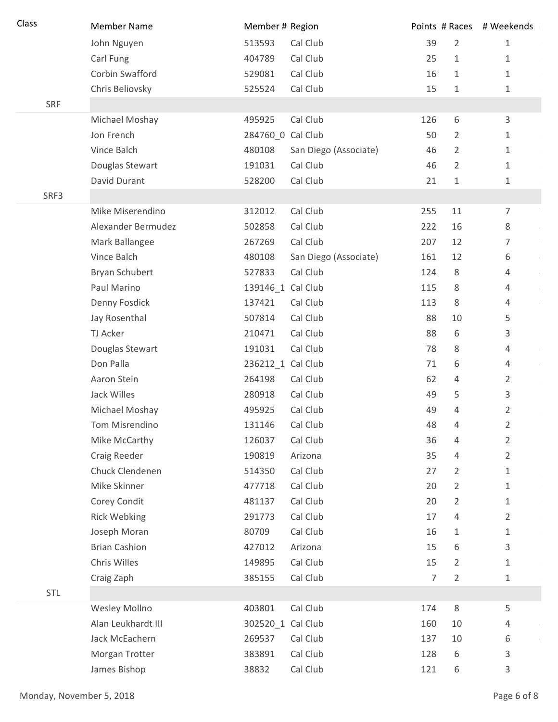| Class | <b>Member Name</b>   | Member # Region   |                       |     |                | Points # Races # Weekends |
|-------|----------------------|-------------------|-----------------------|-----|----------------|---------------------------|
|       | John Nguyen          | 513593            | Cal Club              | 39  | $\overline{2}$ | 1                         |
|       | Carl Fung            | 404789            | Cal Club              | 25  | $\mathbf{1}$   | 1                         |
|       | Corbin Swafford      | 529081            | Cal Club              | 16  | $\mathbf{1}$   | 1                         |
|       | Chris Beliovsky      | 525524            | Cal Club              | 15  | 1              | 1                         |
| SRF   |                      |                   |                       |     |                |                           |
|       | Michael Moshay       | 495925            | Cal Club              | 126 | 6              | 3                         |
|       | Jon French           | 284760 0 Cal Club |                       | 50  | $\overline{2}$ | 1                         |
|       | Vince Balch          | 480108            | San Diego (Associate) | 46  | $\overline{2}$ | 1                         |
|       | Douglas Stewart      | 191031            | Cal Club              | 46  | 2              | 1                         |
|       | David Durant         | 528200            | Cal Club              | 21  | 1              | 1                         |
| SRF3  |                      |                   |                       |     |                |                           |
|       | Mike Miserendino     | 312012            | Cal Club              | 255 | $11\,$         | $\overline{7}$            |
|       | Alexander Bermudez   | 502858            | Cal Club              | 222 | 16             | 8                         |
|       | Mark Ballangee       | 267269            | Cal Club              | 207 | 12             | 7                         |
|       | Vince Balch          | 480108            | San Diego (Associate) | 161 | 12             | 6                         |
|       | Bryan Schubert       | 527833            | Cal Club              | 124 | 8              | 4                         |
|       | Paul Marino          | 139146_1 Cal Club |                       | 115 | 8              | 4                         |
|       | Denny Fosdick        | 137421            | Cal Club              | 113 | 8              | 4                         |
|       | Jay Rosenthal        | 507814            | Cal Club              | 88  | 10             | 5                         |
|       | TJ Acker             | 210471            | Cal Club              | 88  | 6              | 3                         |
|       | Douglas Stewart      | 191031            | Cal Club              | 78  | 8              | 4                         |
|       | Don Palla            | 236212_1 Cal Club |                       | 71  | 6              | 4                         |
|       | Aaron Stein          | 264198            | Cal Club              | 62  | 4              | $\overline{2}$            |
|       | Jack Willes          | 280918            | Cal Club              | 49  | 5              | 3                         |
|       | Michael Moshay       | 495925            | Cal Club              | 49  | 4              | 2                         |
|       | Tom Misrendino       | 131146            | Cal Club              | 48  | 4              | 2                         |
|       | Mike McCarthy        | 126037            | Cal Club              | 36  | 4              | $\overline{2}$            |
|       | Craig Reeder         | 190819            | Arizona               | 35  | 4              | $\overline{2}$            |
|       | Chuck Clendenen      | 514350            | Cal Club              | 27  | $\overline{2}$ | 1                         |
|       | Mike Skinner         | 477718            | Cal Club              | 20  | $\overline{2}$ | 1                         |
|       | Corey Condit         | 481137            | Cal Club              | 20  | 2              | 1                         |
|       | <b>Rick Webking</b>  | 291773            | Cal Club              | 17  | 4              | $\overline{2}$            |
|       | Joseph Moran         | 80709             | Cal Club              | 16  | 1              | 1                         |
|       | <b>Brian Cashion</b> | 427012            | Arizona               | 15  | 6              | 3                         |
|       | Chris Willes         | 149895            | Cal Club              | 15  | $\overline{2}$ | 1                         |
|       | Craig Zaph           | 385155            | Cal Club              | 7   | $\overline{2}$ | 1                         |
| STL   |                      |                   |                       |     |                |                           |
|       | Wesley Mollno        | 403801            | Cal Club              | 174 | $\,8\,$        | 5                         |
|       | Alan Leukhardt III   | 302520_1 Cal Club |                       | 160 | 10             | 4                         |
|       | Jack McEachern       | 269537            | Cal Club              | 137 | 10             | 6                         |
|       | Morgan Trotter       | 383891            | Cal Club              | 128 | 6              | 3                         |
|       | James Bishop         | 38832             | Cal Club              | 121 | 6              | 3                         |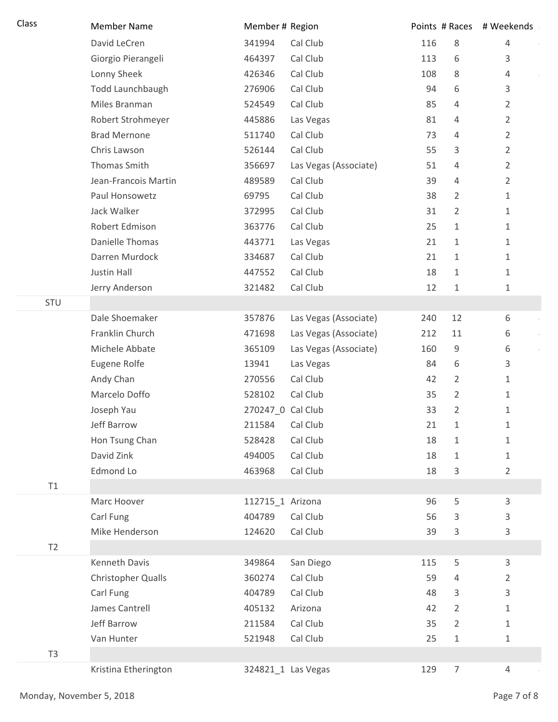| Class          | <b>Member Name</b>        | Member # Region   |                       |     |                | Points # Races # Weekends |
|----------------|---------------------------|-------------------|-----------------------|-----|----------------|---------------------------|
|                | David LeCren              | 341994            | Cal Club              | 116 | 8              | $\overline{4}$            |
|                | Giorgio Pierangeli        | 464397            | Cal Club              | 113 | 6              | 3                         |
|                | Lonny Sheek               | 426346            | Cal Club              | 108 | 8              | $\overline{4}$            |
|                | Todd Launchbaugh          | 276906            | Cal Club              | 94  | 6              | 3                         |
|                | Miles Branman             | 524549            | Cal Club              | 85  | 4              | 2                         |
|                | Robert Strohmeyer         | 445886            | Las Vegas             | 81  | 4              | $\overline{2}$            |
|                | <b>Brad Mernone</b>       | 511740            | Cal Club              | 73  | 4              | $\overline{2}$            |
|                | Chris Lawson              | 526144            | Cal Club              | 55  | 3              | $\overline{2}$            |
|                | Thomas Smith              | 356697            | Las Vegas (Associate) | 51  | 4              | $\overline{2}$            |
|                | Jean-Francois Martin      | 489589            | Cal Club              | 39  | 4              | $\overline{2}$            |
|                | Paul Honsowetz            | 69795             | Cal Club              | 38  | 2              | $\mathbf{1}$              |
|                | Jack Walker               | 372995            | Cal Club              | 31  | $\overline{2}$ | $\mathbf 1$               |
|                | Robert Edmison            | 363776            | Cal Club              | 25  | 1              | $\mathbf 1$               |
|                | <b>Danielle Thomas</b>    | 443771            | Las Vegas             | 21  | 1              | $\mathbf 1$               |
|                | Darren Murdock            | 334687            | Cal Club              | 21  | $\mathbf{1}$   | 1                         |
|                | Justin Hall               | 447552            | Cal Club              | 18  | 1              | $\mathbf{1}$              |
|                | Jerry Anderson            | 321482            | Cal Club              | 12  | 1              | $\mathbf{1}$              |
| STU            |                           |                   |                       |     |                |                           |
|                | Dale Shoemaker            | 357876            | Las Vegas (Associate) | 240 | 12             | 6                         |
|                | Franklin Church           | 471698            | Las Vegas (Associate) | 212 | 11             | 6                         |
|                | Michele Abbate            | 365109            | Las Vegas (Associate) | 160 | 9              | 6                         |
|                | Eugene Rolfe              | 13941             | Las Vegas             | 84  | 6              | 3                         |
|                | Andy Chan                 | 270556            | Cal Club              | 42  | 2              | $\mathbf 1$               |
|                | Marcelo Doffo             | 528102            | Cal Club              | 35  | $\overline{2}$ | $\mathbf{1}$              |
|                | Joseph Yau                | 270247_0 Cal Club |                       | 33  | $\overline{2}$ | $\mathbf 1$               |
|                | <b>Jeff Barrow</b>        | 211584            | Cal Club              | 21  | 1              | $\mathbf{1}$              |
|                | Hon Tsung Chan            | 528428            | Cal Club              | 18  | $\mathbf{1}$   | $1\,$                     |
|                | David Zink                | 494005            | Cal Club              | 18  | 1              | $\mathbf 1$               |
|                | Edmond Lo                 | 463968            | Cal Club              | 18  | 3              | $\overline{2}$            |
| T1             |                           |                   |                       |     |                |                           |
|                | Marc Hoover               | 112715_1 Arizona  |                       | 96  | 5              | $\mathsf{3}$              |
|                | Carl Fung                 | 404789            | Cal Club              | 56  | 3              | 3                         |
|                | Mike Henderson            | 124620            | Cal Club              | 39  | 3              | $\mathsf{3}$              |
| T <sub>2</sub> |                           |                   |                       |     |                |                           |
|                | <b>Kenneth Davis</b>      | 349864            | San Diego             | 115 | 5              | $\mathsf{3}$              |
|                | <b>Christopher Qualls</b> | 360274            | Cal Club              | 59  | 4              | $\overline{2}$            |
|                | Carl Fung                 | 404789            | Cal Club              | 48  | 3              | 3                         |
|                | James Cantrell            | 405132            | Arizona               | 42  | $\overline{2}$ | 1                         |
|                | Jeff Barrow               | 211584            | Cal Club              | 35  | $\overline{2}$ | $\mathbf{1}$              |
|                | Van Hunter                | 521948            | Cal Club              | 25  | 1              | $\mathbf{1}$              |
| T <sub>3</sub> |                           |                   |                       |     |                |                           |
|                | Kristina Etherington      |                   | 324821_1 Las Vegas    | 129 | $\overline{7}$ | $\overline{4}$            |